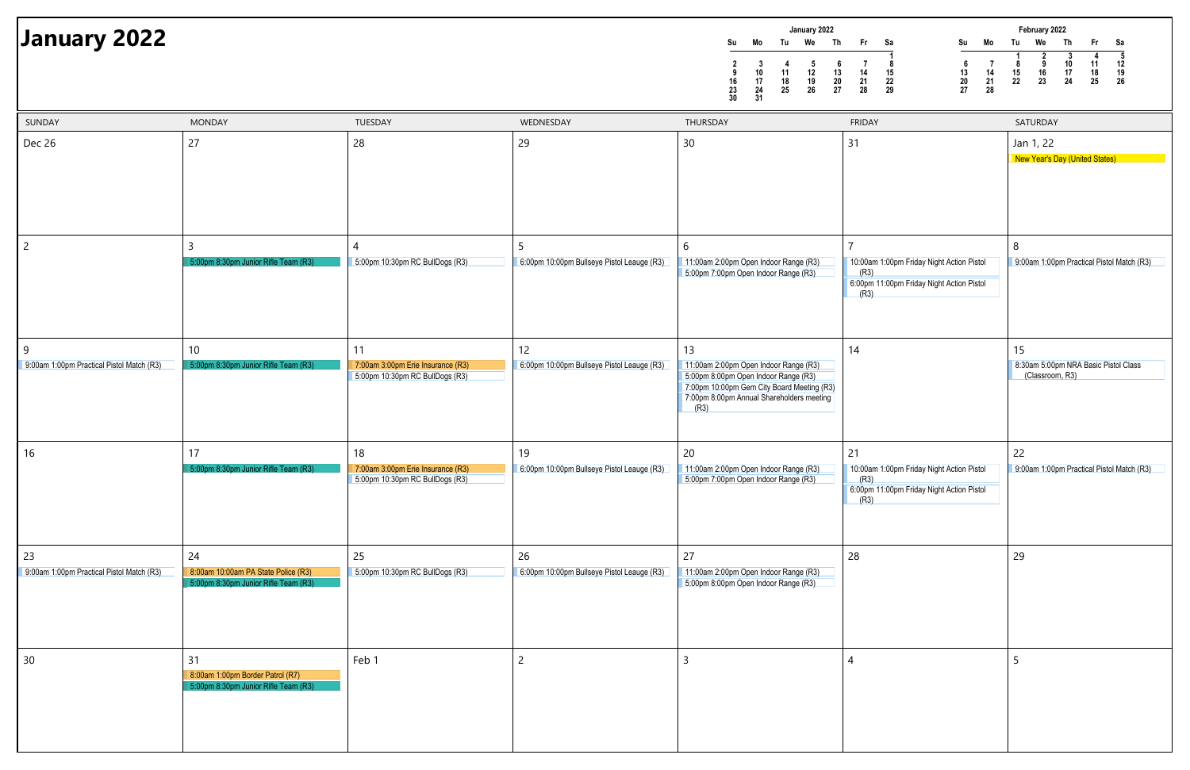| January 2022<br>Tu<br>We<br>Su<br>Mo<br>$\mathbf 3$<br>4<br>$\frac{5}{12}$<br>$\begin{array}{c} 2 \\ 9 \\ 16 \end{array}$<br>10<br>11<br>17<br>18<br>19<br>23<br>24<br>25<br>26<br>30<br>31 | Th<br>Fr<br>Sa<br>Mo<br>Su<br>1<br>$\boldsymbol{6}$<br>$\bf 7$<br>8<br>7<br>$\boldsymbol{6}$<br>13<br>15<br>13<br>14<br>14<br>${\bf 20}$<br>21<br>22<br>20<br>21<br>27<br>28<br>29<br>27<br>28 | February 2022<br>Tu<br>We<br>Fr<br>Sa<br>Th<br>$\overline{2}$<br>${\bf 5}$<br>$\overline{\mathbf{3}}$<br>4<br>1<br>$\boldsymbol{9}$<br>10<br>12<br>8<br>11<br>15<br>16<br>18<br>19<br>17<br>26<br>22<br>23<br>24<br>25 |
|---------------------------------------------------------------------------------------------------------------------------------------------------------------------------------------------|------------------------------------------------------------------------------------------------------------------------------------------------------------------------------------------------|------------------------------------------------------------------------------------------------------------------------------------------------------------------------------------------------------------------------|
| <b>DAY</b>                                                                                                                                                                                  | <b>FRIDAY</b><br>31                                                                                                                                                                            | SATURDAY<br>Jan 1, 22<br><b>New Year's Day (United States)</b>                                                                                                                                                         |
| 2:00pm Open Indoor Range (R3)<br>:00pm Open Indoor Range (R3)                                                                                                                               | $\overline{7}$<br>10:00am 1:00pm Friday Night Action Pistol<br>(R3)<br>6:00pm 11:00pm Friday Night Action Pistol<br>(R3)                                                                       | 8<br>9:00am 1:00pm Practical Pistol Match (R3)                                                                                                                                                                         |
| 2:00pm Open Indoor Range (R3)<br>:00pm Open Indoor Range (R3)<br>0:00pm Gem City Board Meeting (R3)<br>:00pm Annual Shareholders meeting                                                    | 14                                                                                                                                                                                             | 15<br>8:30am 5:00pm NRA Basic Pistol Class<br>(Classroom, R3)                                                                                                                                                          |
| 2:00pm Open Indoor Range (R3)<br>:00pm Open Indoor Range (R3)                                                                                                                               | 21<br>10:00am 1:00pm Friday Night Action Pistol<br>(R3)<br>6:00pm 11:00pm Friday Night Action Pistol<br>(R3)                                                                                   | 22<br>9:00am 1:00pm Practical Pistol Match (R3)                                                                                                                                                                        |
| 2:00pm Open Indoor Range (R3)<br>:00pm Open Indoor Range (R3)                                                                                                                               | 28                                                                                                                                                                                             | 29                                                                                                                                                                                                                     |
|                                                                                                                                                                                             | 4                                                                                                                                                                                              | 5                                                                                                                                                                                                                      |

| January 2022                              |                                                                                |                                                                      |                                                 | January 2022<br>We<br>Tu<br>Th<br>Mo<br>Su<br>-5<br>- 6<br>-4<br>$\begin{array}{c} 10 \\ 17 \\ 24 \end{array}$<br>$\begin{array}{c} 11 \\ 18 \\ 25 \end{array}$<br>$\begin{array}{c} 12 \\ 19 \\ 26 \end{array}$<br>$\begin{array}{c} 13 \\ 20 \\ 27 \end{array}$<br>$\begin{array}{c} 16 \\ 23 \\ 30 \end{array}$<br>31 | <b>Fr</b><br>Su<br>Mo<br>Sa<br>$\begin{array}{c} 6 \\ 13 \\ 20 \\ 27 \end{array}$<br>$\begin{array}{c} 8 \\ 15 \\ 22 \\ 29 \end{array}$<br>$\begin{array}{c} 14 \\ 21 \\ 28 \end{array}$<br>$\begin{array}{c} 14 \\ 21 \\ 28 \end{array}$ | February 2022<br>Th<br>We<br>Tu<br>Sa<br><b>Fr</b><br>$\boldsymbol{3}$<br>-4<br>$\begin{array}{c} 10 \\ 17 \\ 24 \end{array}$<br>$\begin{array}{c} 11 \\ 18 \\ 25 \end{array}$<br>$\begin{array}{c} 12 \\ 19 \\ 26 \end{array}$<br>$\begin{array}{c} 8 \\ 15 \\ 22 \end{array}$<br>9<br>$\frac{16}{23}$ |
|-------------------------------------------|--------------------------------------------------------------------------------|----------------------------------------------------------------------|-------------------------------------------------|--------------------------------------------------------------------------------------------------------------------------------------------------------------------------------------------------------------------------------------------------------------------------------------------------------------------------|-------------------------------------------------------------------------------------------------------------------------------------------------------------------------------------------------------------------------------------------|---------------------------------------------------------------------------------------------------------------------------------------------------------------------------------------------------------------------------------------------------------------------------------------------------------|
| SUNDAY                                    | <b>MONDAY</b>                                                                  | TUESDAY                                                              | WEDNESDAY                                       | THURSDAY                                                                                                                                                                                                                                                                                                                 | <b>FRIDAY</b>                                                                                                                                                                                                                             | SATURDAY                                                                                                                                                                                                                                                                                                |
| Dec 26                                    | 27                                                                             | 28                                                                   | 29                                              | 30                                                                                                                                                                                                                                                                                                                       | 31                                                                                                                                                                                                                                        | Jan 1, 22<br><b>New Year's Day (United States)</b>                                                                                                                                                                                                                                                      |
| $\overline{2}$                            | $\overline{3}$<br>5:00pm 8:30pm Junior Rifle Team (R3)                         | 5:00pm 10:30pm RC BullDogs (R3)                                      | 5<br>6:00pm 10:00pm Bullseye Pistol Leauge (R3) | 6<br>11:00am 2:00pm Open Indoor Range (R3)<br>5:00pm 7:00pm Open Indoor Range (R3)                                                                                                                                                                                                                                       | 10:00am 1:00pm Friday Night Action Pistol<br>(R3)                                                                                                                                                                                         | 8<br>9:00am 1:00pm Practical Pistol Match (R3)                                                                                                                                                                                                                                                          |
|                                           |                                                                                |                                                                      |                                                 |                                                                                                                                                                                                                                                                                                                          | 6:00pm 11:00pm Friday Night Action Pistol<br>(R3)                                                                                                                                                                                         |                                                                                                                                                                                                                                                                                                         |
| 9                                         | 10                                                                             | 11                                                                   | 12                                              | 13                                                                                                                                                                                                                                                                                                                       | 14                                                                                                                                                                                                                                        | 15                                                                                                                                                                                                                                                                                                      |
| 9:00am 1:00pm Practical Pistol Match (R3) | 5:00pm 8:30pm Junior Rifle Team (R3)                                           | 7:00am 3:00pm Erie Insurance (R3)<br>5:00pm 10:30pm RC BullDogs (R3) | 6:00pm 10:00pm Bullseye Pistol Leauge (R3)      | 11:00am 2:00pm Open Indoor Range (R3)<br>5:00pm 8:00pm Open Indoor Range (R3)<br>7:00pm 10:00pm Gem City Board Meeting (R3)<br>7:00pm 8:00pm Annual Shareholders meeting<br>(R3)                                                                                                                                         |                                                                                                                                                                                                                                           | 8:30am 5:00pm NRA Basic Pistol Class<br>(Classroom, R3)                                                                                                                                                                                                                                                 |
| $\vert$ 16                                | 17                                                                             | 18                                                                   | 19                                              | 20                                                                                                                                                                                                                                                                                                                       | 21                                                                                                                                                                                                                                        | 22                                                                                                                                                                                                                                                                                                      |
|                                           | 5:00pm 8:30pm Junior Rifle Team (R3)                                           | 7:00am 3:00pm Erie Insurance (R3)<br>5:00pm 10:30pm RC BullDogs (R3) | 6:00pm 10:00pm Bullseye Pistol Leauge (R3)      | 11:00am 2:00pm Open Indoor Range (R3)<br>5:00pm 7:00pm Open Indoor Range (R3)                                                                                                                                                                                                                                            | 10:00am 1:00pm Friday Night Action Pistol<br>(R3)<br>6:00pm 11:00pm Friday Night Action Pistol<br>(R3)                                                                                                                                    | 9:00am 1:00pm Practical Pistol Match (R3)                                                                                                                                                                                                                                                               |
| 23                                        | 24                                                                             | 25                                                                   | 26                                              | 27                                                                                                                                                                                                                                                                                                                       | 28                                                                                                                                                                                                                                        | 29                                                                                                                                                                                                                                                                                                      |
| 9:00am 1:00pm Practical Pistol Match (R3) | 8:00am 10:00am PA State Police (R3)<br>5:00pm 8:30pm Junior Rifle Team (R3)    | 5:00pm 10:30pm RC BullDogs (R3)                                      | 6:00pm 10:00pm Bullseye Pistol Leauge (R3)      | 11:00am 2:00pm Open Indoor Range (R3)<br>5:00pm 8:00pm Open Indoor Range (R3)                                                                                                                                                                                                                                            |                                                                                                                                                                                                                                           |                                                                                                                                                                                                                                                                                                         |
| 30                                        | 31<br>8:00am 1:00pm Border Patrol (R7)<br>5:00pm 8:30pm Junior Rifle Team (R3) | Feb 1                                                                | 2                                               |                                                                                                                                                                                                                                                                                                                          |                                                                                                                                                                                                                                           |                                                                                                                                                                                                                                                                                                         |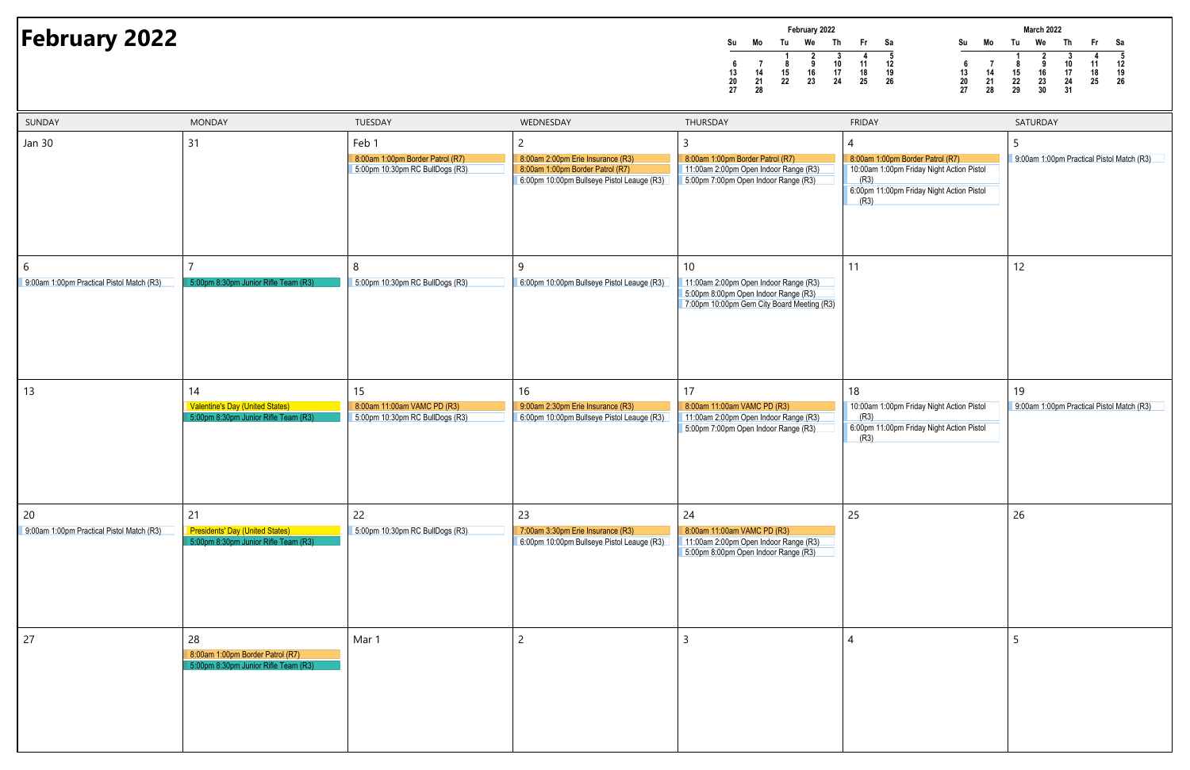**Su Mo Tu We Th Fr Sa1 2 3 4 56 7 8 9 10 11 1213 14 15 16 17 18 1920 21 22 23 24 25 2627 28February 2022**Th **February 2022**<br> **February** 2022<br> **February 2022**<br> **February** 2022<br> **February** 2022<br> **February** 2022<br> **February** 2022<br> **February** 2022<br> **February** 2022<br> **February** 2022<br> **February** 2022<br> **February** 2022<br> **Perrom**<br> **Exp.**



| SUNDAY                                          | <b>MONDAY</b>                                                                        | TUESDAY                                                                      | WEDNESDAY                                                                                                                             | THURSDAY                                                                                                                          | <b>FRIDAY</b>                                                                                                                              | SATURDAY           |
|-------------------------------------------------|--------------------------------------------------------------------------------------|------------------------------------------------------------------------------|---------------------------------------------------------------------------------------------------------------------------------------|-----------------------------------------------------------------------------------------------------------------------------------|--------------------------------------------------------------------------------------------------------------------------------------------|--------------------|
| <b>Jan 30</b>                                   | 31                                                                                   | Feb 1<br>8:00am 1:00pm Border Patrol (R7)<br>5:00pm 10:30pm RC BullDogs (R3) | $\overline{c}$<br>8:00am 2:00pm Erie Insurance (R3)<br>8:00am 1:00pm Border Patrol (R7)<br>6:00pm 10:00pm Bullseye Pistol Leauge (R3) | 3<br>8:00am 1:00pm Border Patrol (R7)<br>11:00am 2:00pm Open Indoor Range (R3)<br>5:00pm 7:00pm Open Indoor Range (R3)            | 8:00am 1:00pm Border Patrol (R7)<br>10:00am 1:00pm Friday Night Action Pistol<br>(R3)<br>6:00pm 11:00pm Friday Night Action Pistol<br>(R3) | 5<br>9:00am 1:00p  |
| 6<br>9:00am 1:00pm Practical Pistol Match (R3)  | $\overline{7}$<br>5:00pm 8:30pm Junior Rifle Team (R3)                               | 8<br>5:00pm 10:30pm RC BullDogs (R3)                                         | 9<br>6:00pm 10:00pm Bullseye Pistol Leauge (R3)                                                                                       | 10<br>11:00am 2:00pm Open Indoor Range (R3)<br>5:00pm 8:00pm Open Indoor Range (R3)<br>7:00pm 10:00pm Gem City Board Meeting (R3) | 11                                                                                                                                         | 12                 |
| 13                                              | 14<br>Valentine's Day (United States)<br>5:00pm 8:30pm Junior Rifle Team (R3)        | 15<br>8:00am 11:00am VAMC PD (R3)<br>5:00pm 10:30pm RC BullDogs (R3)         | 16<br>9:00am 2:30pm Erie Insurance (R3)<br>6:00pm 10:00pm Bullseye Pistol Leauge (R3)                                                 | 17<br>8:00am 11:00am VAMC PD (R3)<br>11:00am 2:00pm Open Indoor Range (R3)<br>5:00pm 7:00pm Open Indoor Range (R3)                | 18<br>10:00am 1:00pm Friday Night Action Pistol<br>(R3)<br>6:00pm 11:00pm Friday Night Action Pistol<br>(R3)                               | 19<br>9:00am 1:00p |
| 20<br>9:00am 1:00pm Practical Pistol Match (R3) | 21<br><b>Presidents' Day (United States)</b><br>5:00pm 8:30pm Junior Rifle Team (R3) | 22<br>5:00pm 10:30pm RC BullDogs (R3)                                        | 23<br>7:00am 3:30pm Erie Insurance (R3)<br>6:00pm 10:00pm Bullseye Pistol Leauge (R3)                                                 | 24<br>8:00am 11:00am VAMC PD (R3)<br>11:00am 2:00pm Open Indoor Range (R3)<br>5:00pm 8:00pm Open Indoor Range (R3)                | 25                                                                                                                                         | 26                 |
| 27                                              | 28<br>8:00am 1:00pm Border Patrol (R7)<br>5:00pm 8:30pm Junior Rifle Team (R3)       | Mar 1                                                                        | $\overline{2}$                                                                                                                        | 3                                                                                                                                 | 4                                                                                                                                          | 5                  |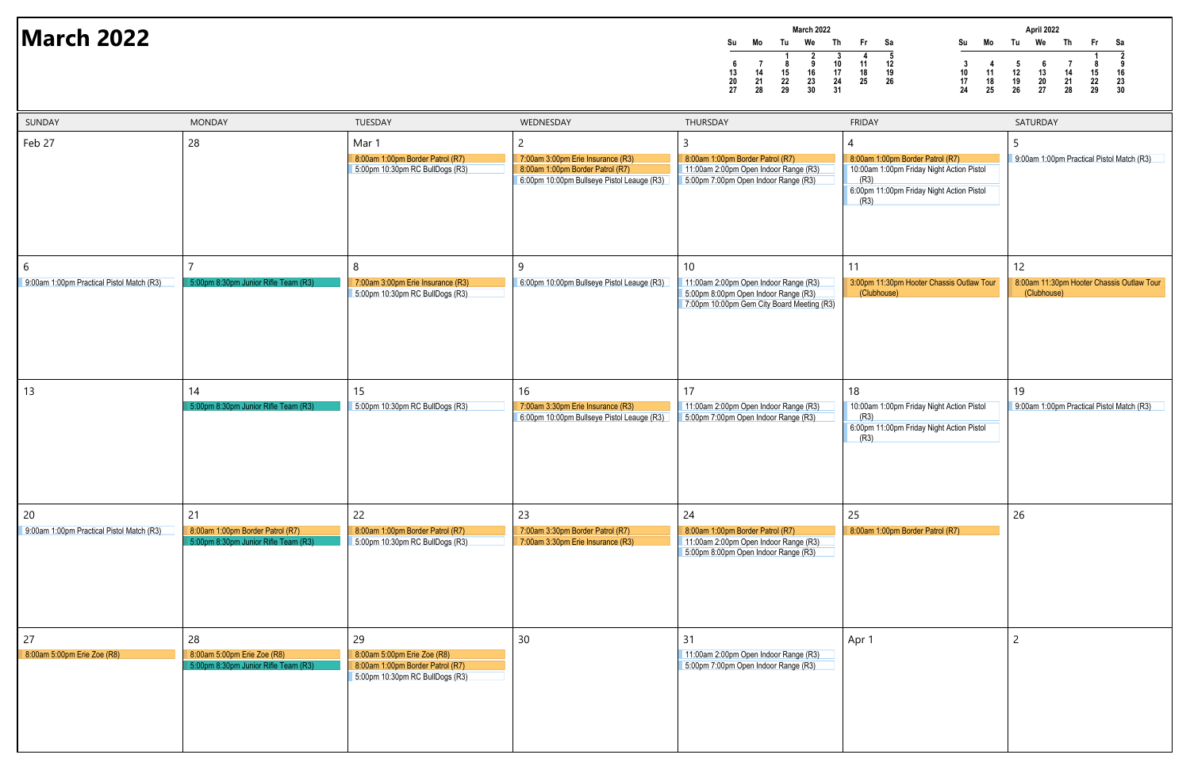|    |    |    | <b>March 2022</b> |    |    |    |
|----|----|----|-------------------|----|----|----|
| Su | Mo | Tu | We                | Th | Fr | Sa |
|    |    |    | 2                 |    |    | 5  |
| 6  |    | 8  | 9                 | 10 | 11 | 12 |
| 13 | 14 | 15 | 16                | 17 | 18 | 19 |
| 20 | 21 | 22 | 23                | 24 | 25 | 26 |
| 27 | 28 | 29 | 30                | 31 |    |    |

### **March 2022**



| SUNDAY                                          | <b>MONDAY</b>                                                                  | TUESDAY                                                                                                  | WEDNESDAY                                                                                                                | THURSDAY                                                                                                                          | <b>FRIDAY</b>                                                                                                                              | SATURDAY                        |
|-------------------------------------------------|--------------------------------------------------------------------------------|----------------------------------------------------------------------------------------------------------|--------------------------------------------------------------------------------------------------------------------------|-----------------------------------------------------------------------------------------------------------------------------------|--------------------------------------------------------------------------------------------------------------------------------------------|---------------------------------|
| Feb 27                                          | 28                                                                             | Mar 1<br>8:00am 1:00pm Border Patrol (R7)<br>5:00pm 10:30pm RC BullDogs (R3)                             | 2<br>7:00am 3:00pm Erie Insurance (R3)<br>8:00am 1:00pm Border Patrol (R7)<br>6:00pm 10:00pm Bullseye Pistol Leauge (R3) | 8:00am 1:00pm Border Patrol (R7)<br>11:00am 2:00pm Open Indoor Range (R3)<br>5:00pm 7:00pm Open Indoor Range (R3)                 | 8:00am 1:00pm Border Patrol (R7)<br>10:00am 1:00pm Friday Night Action Pistol<br>(R3)<br>6:00pm 11:00pm Friday Night Action Pistol<br>(R3) | 9:00am 1:00p                    |
| 6<br>9:00am 1:00pm Practical Pistol Match (R3)  | 5:00pm 8:30pm Junior Rifle Team (R3)                                           | 8<br>7:00am 3:00pm Erie Insurance (R3)<br>5:00pm 10:30pm RC BullDogs (R3)                                | 9<br>6:00pm 10:00pm Bullseye Pistol Leauge (R3)                                                                          | 10<br>11:00am 2:00pm Open Indoor Range (R3)<br>5:00pm 8:00pm Open Indoor Range (R3)<br>7:00pm 10:00pm Gem City Board Meeting (R3) | 11<br>3:00pm 11:30pm Hooter Chassis Outlaw Tour<br>(Clubhouse)                                                                             | 12<br>8:00am 11:30<br>(Clubhous |
| 13                                              | 14<br>5:00pm 8:30pm Junior Rifle Team (R3)                                     | 15<br>5:00pm 10:30pm RC BullDogs (R3)                                                                    | 16<br>7:00am 3:30pm Erie Insurance (R3)<br>6:00pm 10:00pm Bullseye Pistol Leauge (R3)                                    | 17<br>11:00am 2:00pm Open Indoor Range (R3)<br>5:00pm 7:00pm Open Indoor Range (R3)                                               | 18<br>10:00am 1:00pm Friday Night Action Pistol<br>(R3)<br>6:00pm 11:00pm Friday Night Action Pistol<br>(R3)                               | 19<br>9:00am 1:00p              |
| 20<br>9:00am 1:00pm Practical Pistol Match (R3) | 21<br>8:00am 1:00pm Border Patrol (R7)<br>5:00pm 8:30pm Junior Rifle Team (R3) | 22<br>8:00am 1:00pm Border Patrol (R7)<br>5:00pm 10:30pm RC BullDogs (R3)                                | 23<br>7:00am 3:30pm Border Patrol (R7)<br>7:00am 3:30pm Erie Insurance (R3)                                              | 24<br>8:00am 1:00pm Border Patrol (R7)<br>11:00am 2:00pm Open Indoor Range (R3)<br>5:00pm 8:00pm Open Indoor Range (R3)           | 25<br>8:00am 1:00pm Border Patrol (R7)                                                                                                     | 26                              |
| 27<br>8:00am 5:00pm Erie Zoe (R8)               | 28<br>8:00am 5:00pm Erie Zoe (R8)<br>5:00pm 8:30pm Junior Rifle Team (R3)      | 29<br>8:00am 5:00pm Erie Zoe (R8)<br>8:00am 1:00pm Border Patrol (R7)<br>5:00pm 10:30pm RC BullDogs (R3) | 30                                                                                                                       | 31<br>11:00am 2:00pm Open Indoor Range (R3)<br>5:00pm 7:00pm Open Indoor Range (R3)                                               | Apr 1                                                                                                                                      | $\overline{2}$                  |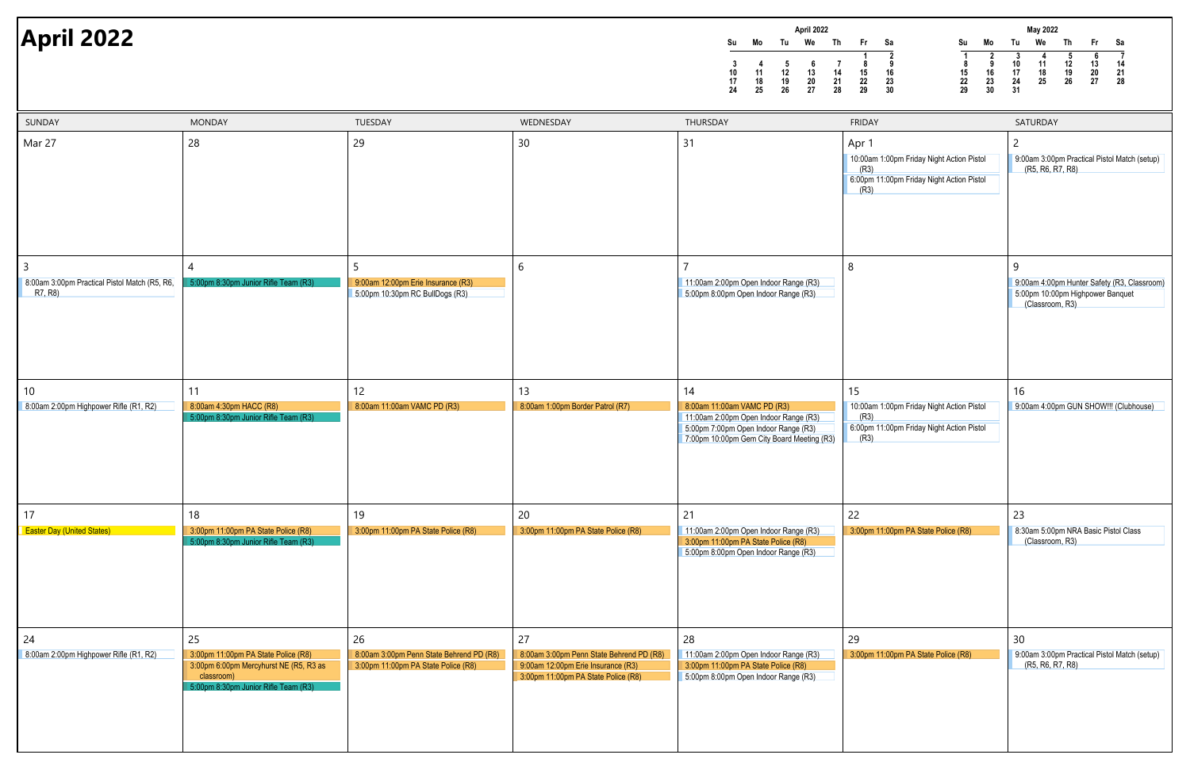|    |    |    | April 2022 |    |    |    |
|----|----|----|------------|----|----|----|
| Su | Mo | Tu | We         | Th | Fr | Sa |
|    |    |    |            |    |    |    |
| 3  |    | 5  | 6          |    | 8  | 9  |
| 10 | 11 | 12 | 13         | 14 | 15 | 16 |
| 17 | 18 | 19 | 20         | 21 | 22 | 23 |
| 24 | 25 | 26 | 27         | 28 | 29 | 30 |



| SUNDAY                                                                     | <b>MONDAY</b>                                                                                                                             | TUESDAY                                                                               | WEDNESDAY                                                                                                                   | THURSDAY                                                                                                                                                         | <b>FRIDAY</b>                                                                                                   | SATURDAY                                        |
|----------------------------------------------------------------------------|-------------------------------------------------------------------------------------------------------------------------------------------|---------------------------------------------------------------------------------------|-----------------------------------------------------------------------------------------------------------------------------|------------------------------------------------------------------------------------------------------------------------------------------------------------------|-----------------------------------------------------------------------------------------------------------------|-------------------------------------------------|
| Mar 27                                                                     | 28                                                                                                                                        | 29                                                                                    | 30                                                                                                                          | 31                                                                                                                                                               | Apr 1<br>10:00am 1:00pm Friday Night Action Pistol<br>(R3)<br>6:00pm 11:00pm Friday Night Action Pistol<br>(R3) | $\overline{2}$<br>9:00am 3:00p<br>(R5, R6, F    |
| $\overline{3}$<br>8:00am 3:00pm Practical Pistol Match (R5, R6,<br>R7, R8) | 4<br>5:00pm 8:30pm Junior Rifle Team (R3)                                                                                                 | 5<br>9:00am 12:00pm Erie Insurance (R3)<br>5:00pm 10:30pm RC BullDogs (R3)            | 6                                                                                                                           | 11:00am 2:00pm Open Indoor Range (R3)<br>5:00pm 8:00pm Open Indoor Range (R3)                                                                                    | 8                                                                                                               | 9<br>9:00am 4:00p<br>5:00pm 10:00<br>(Classroor |
| 10<br>8:00am 2:00pm Highpower Rifle (R1, R2)                               | 11<br>8:00am 4:30pm HACC (R8)<br>5:00pm 8:30pm Junior Rifle Team (R3)                                                                     | 12<br>8:00am 11:00am VAMC PD (R3)                                                     | 13<br>8:00am 1:00pm Border Patrol (R7)                                                                                      | 14<br>8:00am 11:00am VAMC PD (R3)<br>11:00am 2:00pm Open Indoor Range (R3)<br>5:00pm 7:00pm Open Indoor Range (R3)<br>7:00pm 10:00pm Gem City Board Meeting (R3) | 15<br>10:00am 1:00pm Friday Night Action Pistol<br>(R3)<br>6:00pm 11:00pm Friday Night Action Pistol<br>(R3)    | 16<br>9:00am 4:00p                              |
| 17                                                                         | 18                                                                                                                                        | 19                                                                                    | 20                                                                                                                          | 21                                                                                                                                                               | 22                                                                                                              | 23                                              |
| <b>Easter Day (United States)</b>                                          | 3:00pm 11:00pm PA State Police (R8)<br>5:00pm 8:30pm Junior Rifle Team (R3)                                                               | 3:00pm 11:00pm PA State Police (R8)                                                   | 3:00pm 11:00pm PA State Police (R8)                                                                                         | 11:00am 2:00pm Open Indoor Range (R3)<br>3:00pm 11:00pm PA State Police (R8)<br>5:00pm 8:00pm Open Indoor Range (R3)                                             | 3:00pm 11:00pm PA State Police (R8)                                                                             | 8:30am 5:00p<br>(Classroor                      |
| 24<br>8:00am 2:00pm Highpower Rifle (R1, R2)                               | 25<br>3:00pm 11:00pm PA State Police (R8)<br>3:00pm 6:00pm Mercyhurst NE (R5, R3 as<br>classroom)<br>5:00pm 8:30pm Junior Rifle Team (R3) | 26<br>8:00am 3:00pm Penn State Behrend PD (R8)<br>3:00pm 11:00pm PA State Police (R8) | 27<br>8:00am 3:00pm Penn State Behrend PD (R8)<br>9:00am 12:00pm Erie Insurance (R3)<br>3:00pm 11:00pm PA State Police (R8) | 28<br>11:00am 2:00pm Open Indoor Range (R3)<br>3:00pm 11:00pm PA State Police (R8)<br>5:00pm 8:00pm Open Indoor Range (R3)                                       | 29<br>3:00pm 11:00pm PA State Police (R8)                                                                       | 30 <sup>°</sup><br>9:00am 3:00p<br>(R5, R6, R   |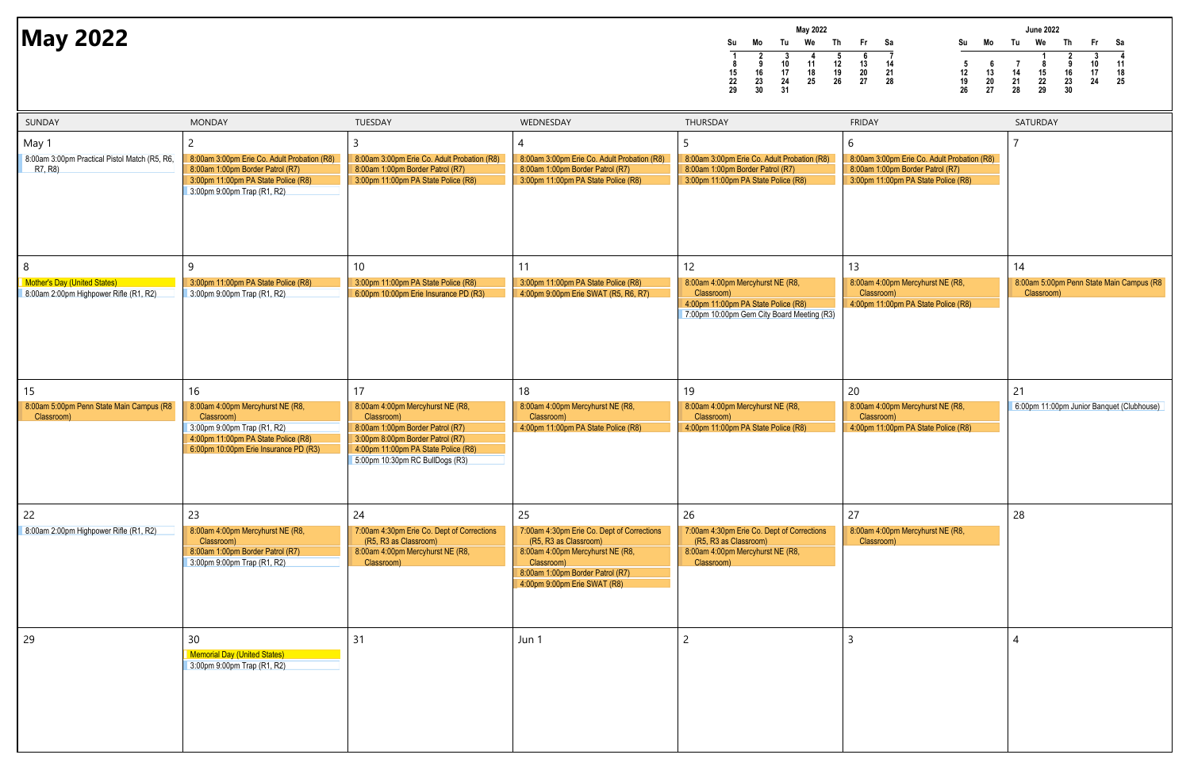**Su Mo Tu We Th Fr Sa1 2 3 4 5 6 78 9 10 11 12 13 1415 16 17 18 19 20 2122 23 24 25 26 27 2829 30 31May 2022** $Th$ **May 2022**<br>
May 2022<br>
and the Theory of the True of the True Theory<br>
and the True Theory<br>
and the True Theory<br>
and the True The True The True The True The True The True The True Theory<br>
and the True Theory<br>
and the True Th



| SUNDAY                                                                             | <b>MONDAY</b>                                                                                                                                                       | TUESDAY                                                                                                                                                                                                | WEDNESDAY                                                                                                                                                                                       | THURSDAY                                                                                                                                  | <b>FRIDAY</b>                                                                                                               | SATURDAY                        |
|------------------------------------------------------------------------------------|---------------------------------------------------------------------------------------------------------------------------------------------------------------------|--------------------------------------------------------------------------------------------------------------------------------------------------------------------------------------------------------|-------------------------------------------------------------------------------------------------------------------------------------------------------------------------------------------------|-------------------------------------------------------------------------------------------------------------------------------------------|-----------------------------------------------------------------------------------------------------------------------------|---------------------------------|
| May 1<br>8:00am 3:00pm Practical Pistol Match (R5, R6,<br>R7, R8)                  | 2<br>8:00am 3:00pm Erie Co. Adult Probation (R8)<br>8:00am 1:00pm Border Patrol (R7)<br>3:00pm 11:00pm PA State Police (R8)<br>3:00pm 9:00pm Trap (R1, R2)          | 8:00am 3:00pm Erie Co. Adult Probation (R8)<br>8:00am 1:00pm Border Patrol (R7)<br>3:00pm 11:00pm PA State Police (R8)                                                                                 | 8:00am 3:00pm Erie Co. Adult Probation (R8)<br>8:00am 1:00pm Border Patrol (R7)<br>3:00pm 11:00pm PA State Police (R8)                                                                          | 8:00am 3:00pm Erie Co. Adult Probation (R8)<br>8:00am 1:00pm Border Patrol (R7)<br>3:00pm 11:00pm PA State Police (R8)                    | 6<br>8:00am 3:00pm Erie Co. Adult Probation (R8)<br>8:00am 1:00pm Border Patrol (R7)<br>3:00pm 11:00pm PA State Police (R8) |                                 |
| 8<br><b>Mother's Day (United States)</b><br>8:00am 2:00pm Highpower Rifle (R1, R2) | 9<br>3:00pm 11:00pm PA State Police (R8)<br>3:00pm 9:00pm Trap (R1, R2)                                                                                             | 10 <sup>°</sup><br>3:00pm 11:00pm PA State Police (R8)<br>6:00pm 10:00pm Erie Insurance PD (R3)                                                                                                        | 11<br>3:00pm 11:00pm PA State Police (R8)<br>4:00pm 9:00pm Erie SWAT (R5, R6, R7)                                                                                                               | 12<br>8:00am 4:00pm Mercyhurst NE (R8,<br>Classroom)<br>4:00pm 11:00pm PA State Police (R8)<br>7:00pm 10:00pm Gem City Board Meeting (R3) | 13<br>8:00am 4:00pm Mercyhurst NE (R8,<br>Classroom)<br>4:00pm 11:00pm PA State Police (R8)                                 | 14<br>8:00am 5:00p<br>Classroom |
| 15<br>8:00am 5:00pm Penn State Main Campus (R8<br>Classroom)                       | 16<br>8:00am 4:00pm Mercyhurst NE (R8,<br>Classroom)<br>3:00pm 9:00pm Trap (R1, R2)<br>4:00pm 11:00pm PA State Police (R8)<br>6:00pm 10:00pm Erie Insurance PD (R3) | 17<br>8:00am 4:00pm Mercyhurst NE (R8,<br>Classroom)<br>8:00am 1:00pm Border Patrol (R7)<br>3:00pm 8:00pm Border Patrol (R7)<br>4:00pm 11:00pm PA State Police (R8)<br>5:00pm 10:30pm RC BullDogs (R3) | 18<br>8:00am 4:00pm Mercyhurst NE (R8,<br>Classroom)<br>4:00pm 11:00pm PA State Police (R8)                                                                                                     | 19<br>8:00am 4:00pm Mercyhurst NE (R8,<br>Classroom)<br>4:00pm 11:00pm PA State Police (R8)                                               | 20<br>8:00am 4:00pm Mercyhurst NE (R8,<br>Classroom)<br>4:00pm 11:00pm PA State Police (R8)                                 | 21<br>6:00pm 11:00              |
| 22<br>8:00am 2:00pm Highpower Rifle (R1, R2)                                       | 23<br>8:00am 4:00pm Mercyhurst NE (R8,<br>Classroom)<br>8:00am 1:00pm Border Patrol (R7)<br>3:00pm 9:00pm Trap (R1, R2)                                             | 24<br>7:00am 4:30pm Erie Co. Dept of Corrections<br>(R5, R3 as Classroom)<br>8:00am 4:00pm Mercyhurst NE (R8,<br>Classroom)                                                                            | 25<br>7:00am 4:30pm Erie Co. Dept of Corrections<br>(R5, R3 as Classroom)<br>8:00am 4:00pm Mercyhurst NE (R8,<br>Classroom)<br>8:00am 1:00pm Border Patrol (R7)<br>4:00pm 9:00pm Erie SWAT (R8) | 26<br>7:00am 4:30pm Erie Co. Dept of Corrections<br>(R5, R3 as Classroom)<br>8:00am 4:00pm Mercyhurst NE (R8,<br>Classroom)               | 27<br>8:00am 4:00pm Mercyhurst NE (R8,<br>Classroom)                                                                        | 28                              |
| 29                                                                                 | 30<br><b>Memorial Day (United States)</b><br>3:00pm 9:00pm Trap (R1, R2)                                                                                            | 31                                                                                                                                                                                                     | Jun 1                                                                                                                                                                                           | $\overline{c}$                                                                                                                            | $\overline{3}$                                                                                                              | 4                               |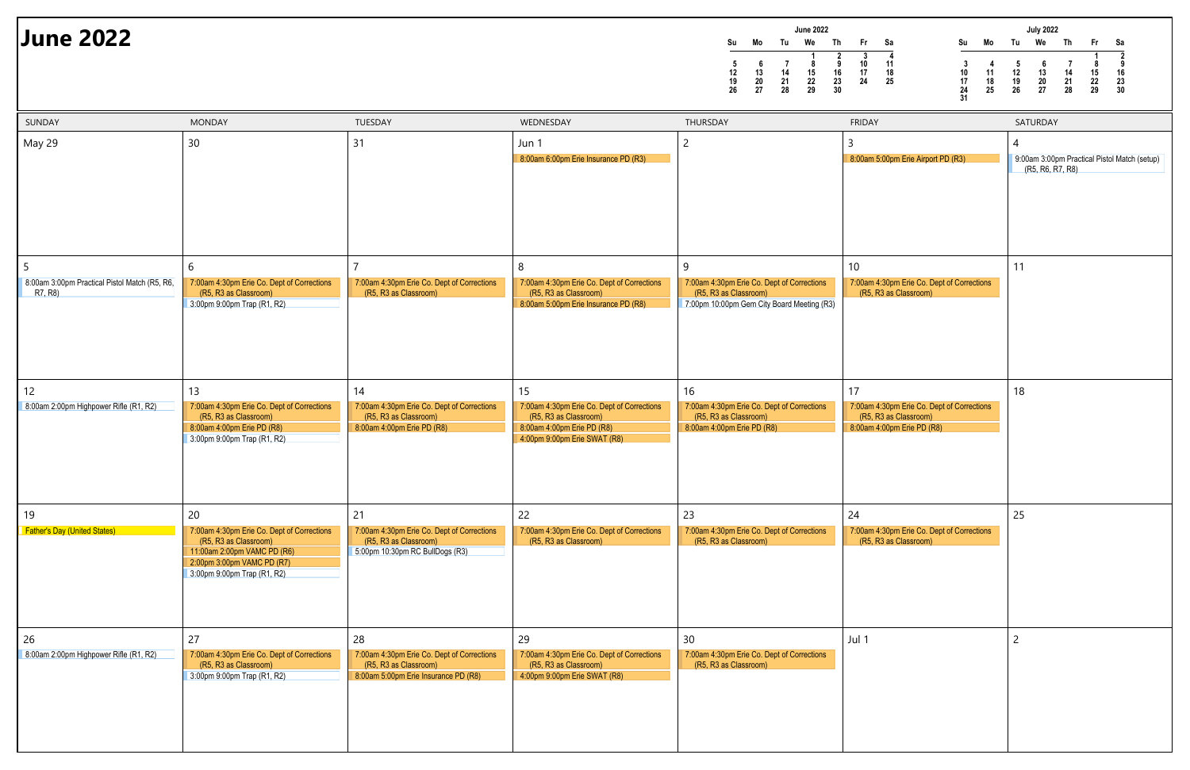|    |    |    | <b>June 2022</b> |    |    |    |
|----|----|----|------------------|----|----|----|
| Su | Mo | Tu | We               | Th | Fr | Sa |
|    |    |    |                  |    | 3  |    |
| 5  | 6  |    | 8                | 9  | 10 | 11 |
| 12 | 13 | 14 | 15               | 16 | 17 | 18 |
| 19 | 20 | 21 | 22               | 23 | 24 | 25 |
| 26 | 27 | 28 | 29               | 30 |    |    |

### **June 2022**



| SUNDAY                                                         | <b>MONDAY</b>                                                                                                                                                         | TUESDAY                                                                                                           | WEDNESDAY                                                                                                                               | THURSDAY                                                                                                               | <b>FRIDAY</b>                                                                                           | SATURDAY                                                  |
|----------------------------------------------------------------|-----------------------------------------------------------------------------------------------------------------------------------------------------------------------|-------------------------------------------------------------------------------------------------------------------|-----------------------------------------------------------------------------------------------------------------------------------------|------------------------------------------------------------------------------------------------------------------------|---------------------------------------------------------------------------------------------------------|-----------------------------------------------------------|
| May 29                                                         | 30                                                                                                                                                                    | 31                                                                                                                | Jun 1<br>8:00am 6:00pm Erie Insurance PD (R3)                                                                                           | 2                                                                                                                      | 8:00am 5:00pm Erie Airport PD (R3)                                                                      | 4<br>9:00am 3:00p<br>(R <sub>5</sub> , R <sub>6</sub> , F |
| -5<br>8:00am 3:00pm Practical Pistol Match (R5, R6,<br>R7, R8) | 6<br>7:00am 4:30pm Erie Co. Dept of Corrections<br>(R5, R3 as Classroom)<br>3:00pm 9:00pm Trap (R1, R2)                                                               | 7:00am 4:30pm Erie Co. Dept of Corrections<br>(R5, R3 as Classroom)                                               | 8<br>7:00am 4:30pm Erie Co. Dept of Corrections<br>(R5, R3 as Classroom)<br>8:00am 5:00pm Erie Insurance PD (R8)                        | 9<br>7:00am 4:30pm Erie Co. Dept of Corrections<br>(R5, R3 as Classroom)<br>7:00pm 10:00pm Gem City Board Meeting (R3) | 10<br>7:00am 4:30pm Erie Co. Dept of Corrections<br>(R5, R3 as Classroom)                               | 11                                                        |
| $12 \overline{ }$<br>8:00am 2:00pm Highpower Rifle (R1, R2)    | 13<br>7:00am 4:30pm Erie Co. Dept of Corrections<br>(R5, R3 as Classroom)<br>8:00am 4:00pm Erie PD (R8)<br>3:00pm 9:00pm Trap (R1, R2)                                | 14<br>7:00am 4:30pm Erie Co. Dept of Corrections<br>(R5, R3 as Classroom)<br>8:00am 4:00pm Erie PD (R8)           | 15<br>7:00am 4:30pm Erie Co. Dept of Corrections<br>(R5, R3 as Classroom)<br>8:00am 4:00pm Erie PD (R8)<br>4:00pm 9:00pm Erie SWAT (R8) | 16<br>7:00am 4:30pm Erie Co. Dept of Corrections<br>(R5, R3 as Classroom)<br>8:00am 4:00pm Erie PD (R8)                | 17<br>7:00am 4:30pm Erie Co. Dept of Corrections<br>(R5, R3 as Classroom)<br>8:00am 4:00pm Erie PD (R8) | 18                                                        |
| 19<br><b>Father's Day (United States)</b>                      | 20<br>7:00am 4:30pm Erie Co. Dept of Corrections<br>(R5, R3 as Classroom)<br>11:00am 2:00pm VAMC PD (R6)<br>2:00pm 3:00pm VAMC PD (R7)<br>3:00pm 9:00pm Trap (R1, R2) | 21<br>7:00am 4:30pm Erie Co. Dept of Corrections<br>(R5, R3 as Classroom)<br>5:00pm 10:30pm RC BullDogs (R3)      | 22<br>7:00am 4:30pm Erie Co. Dept of Corrections<br>(R5, R3 as Classroom)                                                               | 23<br>7:00am 4:30pm Erie Co. Dept of Corrections<br>(R5, R3 as Classroom)                                              | 24<br>7:00am 4:30pm Erie Co. Dept of Corrections<br>(R5, R3 as Classroom)                               | 25                                                        |
| 26<br>8:00am 2:00pm Highpower Rifle (R1, R2)                   | 27<br>7:00am 4:30pm Erie Co. Dept of Corrections<br>(R5, R3 as Classroom)<br>3:00pm 9:00pm Trap (R1, R2)                                                              | 28<br>7:00am 4:30pm Erie Co. Dept of Corrections<br>(R5, R3 as Classroom)<br>8:00am 5:00pm Erie Insurance PD (R8) | 29<br>7:00am 4:30pm Erie Co. Dept of Corrections<br>(R5, R3 as Classroom)<br>4:00pm 9:00pm Erie SWAT (R8)                               | 30 <sup>°</sup><br>7:00am 4:30pm Erie Co. Dept of Corrections<br>(R5, R3 as Classroom)                                 | Jul 1                                                                                                   | $\mathcal{P}$                                             |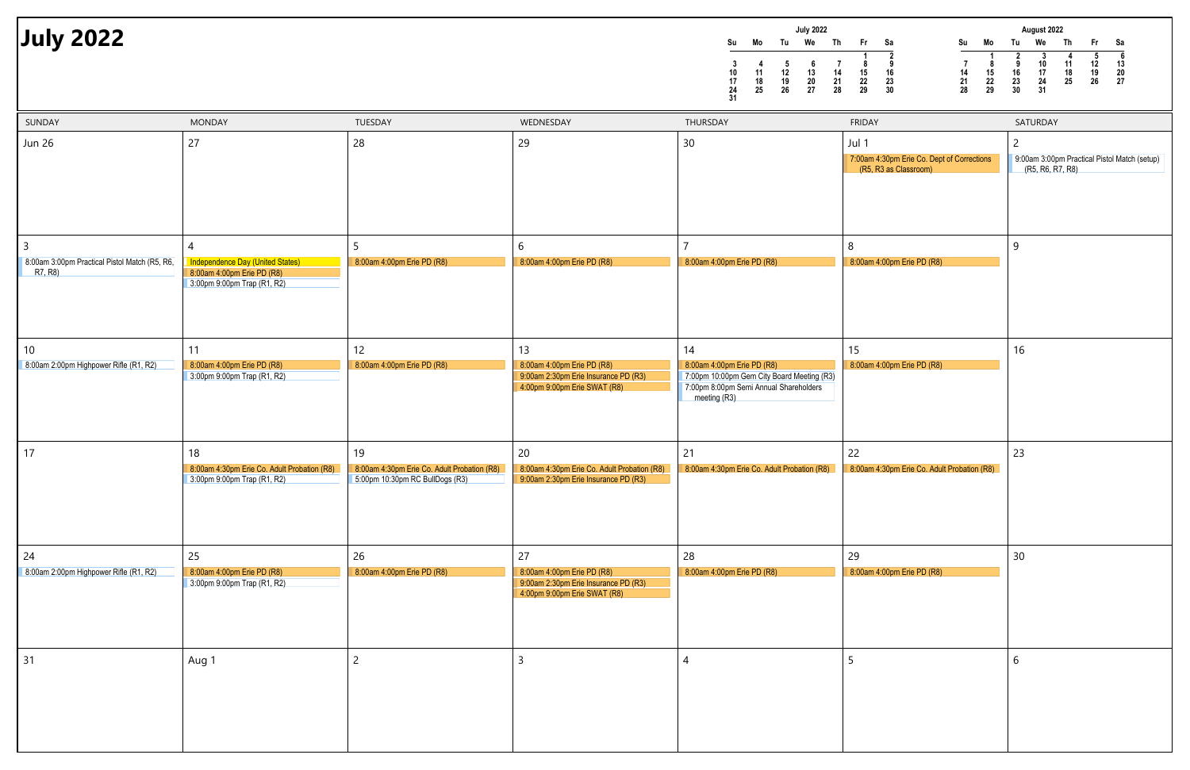|    |    |    | <b>July 2022</b> |    |    |    |
|----|----|----|------------------|----|----|----|
| Su | Mo | Tu | We               | Th | Fr | Sa |
|    |    |    |                  |    | 1  | 2  |
| 3  |    | 5  | 6                |    | 8  | 9  |
| 10 | 11 | 12 | 13               | 14 | 15 | 16 |
| 17 | 18 | 19 | 20               | 21 | 22 | 23 |
| 24 | 25 | 26 | 27               | 28 | 29 | 30 |
| 31 |    |    |                  |    |    |    |



| SUNDAY                                                        | <b>MONDAY</b>                                                                                             | TUESDAY                                                                              | WEDNESDAY                                                                                                | THURSDAY                                                                                                                                 | <b>FRIDAY</b>                                                                | SATURDAY                                     |
|---------------------------------------------------------------|-----------------------------------------------------------------------------------------------------------|--------------------------------------------------------------------------------------|----------------------------------------------------------------------------------------------------------|------------------------------------------------------------------------------------------------------------------------------------------|------------------------------------------------------------------------------|----------------------------------------------|
| <b>Jun 26</b>                                                 | 27                                                                                                        | 28                                                                                   | 29                                                                                                       | 30                                                                                                                                       | Jul 1<br>7:00am 4:30pm Erie Co. Dept of Corrections<br>(R5, R3 as Classroom) | $\overline{2}$<br>9:00am 3:00p<br>(R5, R6, R |
| 3<br>8:00am 3:00pm Practical Pistol Match (R5, R6,<br>R7, R8) | 4<br><b>Independence Day (United States)</b><br>8:00am 4:00pm Erie PD (R8)<br>3:00pm 9:00pm Trap (R1, R2) | 5<br>8:00am 4:00pm Erie PD (R8)                                                      | 6<br>8:00am 4:00pm Erie PD (R8)                                                                          | 8:00am 4:00pm Erie PD (R8)                                                                                                               | 8<br>8:00am 4:00pm Erie PD (R8)                                              | 9                                            |
| 10 <sup>°</sup><br>8:00am 2:00pm Highpower Rifle (R1, R2)     | 11<br>8:00am 4:00pm Erie PD (R8)<br>3:00pm 9:00pm Trap (R1, R2)                                           | 12<br>8:00am 4:00pm Erie PD (R8)                                                     | 13<br>8:00am 4:00pm Erie PD (R8)<br>9:00am 2:30pm Erie Insurance PD (R3)<br>4:00pm 9:00pm Erie SWAT (R8) | 14<br>8:00am 4:00pm Erie PD (R8)<br>7:00pm 10:00pm Gem City Board Meeting (R3)<br>7:00pm 8:00pm Semi Annual Shareholders<br>meeting (R3) | 15<br>8:00am 4:00pm Erie PD (R8)                                             | 16                                           |
| 17                                                            | 18<br>8:00am 4:30pm Erie Co. Adult Probation (R8)<br>3:00pm 9:00pm Trap (R1, R2)                          | 19<br>8:00am 4:30pm Erie Co. Adult Probation (R8)<br>5:00pm 10:30pm RC BullDogs (R3) | 20<br>8:00am 4:30pm Erie Co. Adult Probation (R8)<br>9:00am 2:30pm Erie Insurance PD (R3)                | 21<br>8:00am 4:30pm Erie Co. Adult Probation (R8)                                                                                        | 22<br>8:00am 4:30pm Erie Co. Adult Probation (R8)                            | 23                                           |
| 24<br>8:00am 2:00pm Highpower Rifle (R1, R2)                  | 25<br>8:00am 4:00pm Erie PD (R8)<br>3:00pm 9:00pm Trap (R1, R2)                                           | 26<br>8:00am 4:00pm Erie PD (R8)                                                     | 27<br>8:00am 4:00pm Erie PD (R8)<br>9:00am 2:30pm Erie Insurance PD (R3)<br>4:00pm 9:00pm Erie SWAT (R8) | 28<br>8:00am 4:00pm Erie PD (R8)                                                                                                         | 29<br>8:00am 4:00pm Erie PD (R8)                                             | 30                                           |
| 31                                                            | Aug 1                                                                                                     | $\overline{2}$                                                                       | $\overline{3}$                                                                                           | Δ                                                                                                                                        | 5                                                                            | 6                                            |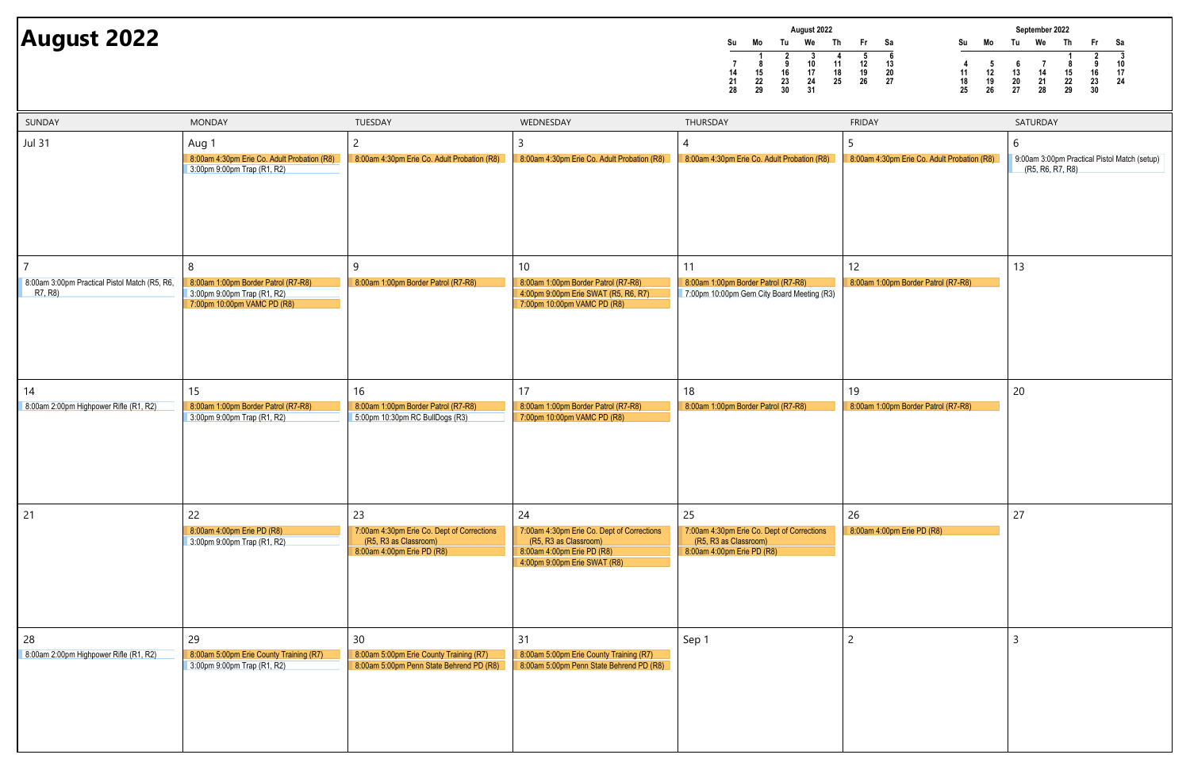|    | August 2022 |    |    |    |    |    |  |  |  |
|----|-------------|----|----|----|----|----|--|--|--|
| Su | Mo          | Tu | We | Th | Fr | Sa |  |  |  |
|    |             |    | 3  |    | 5  | 6  |  |  |  |
|    | 8           | 9  | 10 | 11 | 12 | 13 |  |  |  |
| 14 | 15          | 16 | 17 | 18 | 19 | 20 |  |  |  |
| 21 | 22          | 23 | 24 | 25 | 26 | 27 |  |  |  |
| 28 | 29          | 30 | 31 |    |    |    |  |  |  |

# **August 2022**



| SUNDAY                                                   | <b>MONDAY</b>                                                                       | TUESDAY                                                                                                 | WEDNESDAY                                                                                                                               | THURSDAY                                                                                                | <b>FRIDAY</b>                               | SATURDAY                                                         |
|----------------------------------------------------------|-------------------------------------------------------------------------------------|---------------------------------------------------------------------------------------------------------|-----------------------------------------------------------------------------------------------------------------------------------------|---------------------------------------------------------------------------------------------------------|---------------------------------------------|------------------------------------------------------------------|
| Jul 31                                                   | Aug 1<br>8:00am 4:30pm Erie Co. Adult Probation (R8)<br>3:00pm 9:00pm Trap (R1, R2) | 8:00am 4:30pm Erie Co. Adult Probation (R8)                                                             | 8:00am 4:30pm Erie Co. Adult Probation (R8)                                                                                             | 8:00am 4:30pm Erie Co. Adult Probation (R8)                                                             | 8:00am 4:30pm Erie Co. Adult Probation (R8) | 9:00am 3:00pm Practical Pistol Match (setup)<br>(R5, R6, R7, R8) |
|                                                          |                                                                                     |                                                                                                         |                                                                                                                                         |                                                                                                         |                                             |                                                                  |
| 8:00am 3:00pm Practical Pistol Match (R5, R6,<br>R7, R8) | 8<br>8:00am 1:00pm Border Patrol (R7-R8)<br>3:00pm 9:00pm Trap (R1, R2)             | 9<br>8:00am 1:00pm Border Patrol (R7-R8)                                                                | 10 <sup>°</sup><br>8:00am 1:00pm Border Patrol (R7-R8)<br>4:00pm 9:00pm Erie SWAT (R5, R6, R7)                                          | 11<br>8:00am 1:00pm Border Patrol (R7-R8)<br>7:00pm 10:00pm Gem City Board Meeting (R3)                 | 12<br>8:00am 1:00pm Border Patrol (R7-R8)   | 13                                                               |
|                                                          | 7:00pm 10:00pm VAMC PD (R8)                                                         |                                                                                                         | 7:00pm 10:00pm VAMC PD (R8)                                                                                                             |                                                                                                         |                                             |                                                                  |
| 14<br>8:00am 2:00pm Highpower Rifle (R1, R2)             | 15<br>8:00am 1:00pm Border Patrol (R7-R8)<br>3:00pm 9:00pm Trap (R1, R2)            | 16<br>8:00am 1:00pm Border Patrol (R7-R8)<br>5:00pm 10:30pm RC BullDogs (R3)                            | 17<br>8:00am 1:00pm Border Patrol (R7-R8)<br>7:00pm 10:00pm VAMC PD (R8)                                                                | 18<br>8:00am 1:00pm Border Patrol (R7-R8)                                                               | 19<br>8:00am 1:00pm Border Patrol (R7-R8)   | 20                                                               |
|                                                          |                                                                                     |                                                                                                         |                                                                                                                                         |                                                                                                         |                                             |                                                                  |
| 21                                                       | 22<br>8:00am 4:00pm Erie PD (R8)<br>3:00pm 9:00pm Trap (R1, R2)                     | 23<br>7:00am 4:30pm Erie Co. Dept of Corrections<br>(R5, R3 as Classroom)<br>8:00am 4:00pm Erie PD (R8) | 24<br>7:00am 4:30pm Erie Co. Dept of Corrections<br>(R5, R3 as Classroom)<br>8:00am 4:00pm Erie PD (R8)<br>4:00pm 9:00pm Erie SWAT (R8) | 25<br>7:00am 4:30pm Erie Co. Dept of Corrections<br>(R5, R3 as Classroom)<br>8:00am 4:00pm Erie PD (R8) | 26<br>8:00am 4:00pm Erie PD (R8)            | 27                                                               |
| 28<br>8:00am 2:00pm Highpower Rifle (R1, R2)             | 29<br>8:00am 5:00pm Erie County Training (R7)<br>3:00pm 9:00pm Trap (R1, R2)        | 30<br>8:00am 5:00pm Erie County Training (R7)<br>8:00am 5:00pm Penn State Behrend PD (R8)               | 31<br>8:00am 5:00pm Erie County Training (R7)<br>8:00am 5:00pm Penn State Behrend PD (R8)                                               | Sep 1                                                                                                   | $\overline{c}$                              |                                                                  |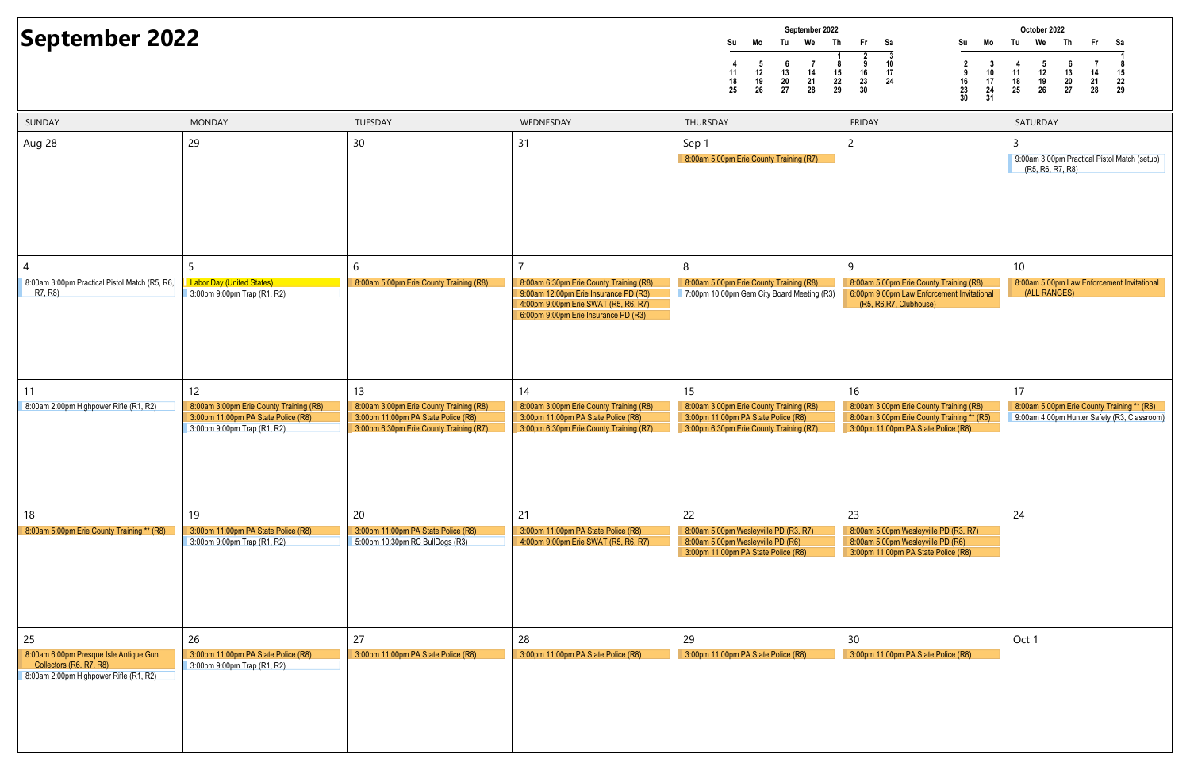| September 2022 |    |    |    |    |    |    |  |
|----------------|----|----|----|----|----|----|--|
| Su             | Mo | Tu | We | Th | Fr | Sa |  |
|                |    |    |    |    | 2  | 3  |  |
| 4              | 5  | 6  |    | 8  | 9  | 10 |  |
| 11             | 12 | 13 | 14 | 15 | 16 | 17 |  |
| 18             | 19 | 20 | 21 | 22 | 23 | 24 |  |
| 25             | 26 | 27 | 28 | 29 | 30 |    |  |

### **September 2022**



| SUNDAY                                                                                                      | <b>MONDAY</b>                                                                                                 | TUESDAY                                                                                                                   | WEDNESDAY                                                                                                                                                        | THURSDAY                                                                                                                  | <b>FRIDAY</b>                                                                                                                | SATURDAY                         |
|-------------------------------------------------------------------------------------------------------------|---------------------------------------------------------------------------------------------------------------|---------------------------------------------------------------------------------------------------------------------------|------------------------------------------------------------------------------------------------------------------------------------------------------------------|---------------------------------------------------------------------------------------------------------------------------|------------------------------------------------------------------------------------------------------------------------------|----------------------------------|
| Aug 28                                                                                                      | 29                                                                                                            | 30                                                                                                                        | 31                                                                                                                                                               | Sep 1<br>8:00am 5:00pm Erie County Training (R7)                                                                          | 2                                                                                                                            | 3<br>9:00am 3:00p<br>(R5, R6, F) |
| 8:00am 3:00pm Practical Pistol Match (R5, R6,                                                               | <b>Labor Day (United States)</b>                                                                              | 6<br>8:00am 5:00pm Erie County Training (R8)                                                                              |                                                                                                                                                                  | 8<br>8:00am 5:00pm Erie County Training (R8)                                                                              | 9<br>8:00am 5:00pm Erie County Training (R8)                                                                                 | 10<br>8:00am 5:00p               |
| R7, R8)                                                                                                     | 3:00pm 9:00pm Trap (R1, R2)                                                                                   |                                                                                                                           | 8:00am 6:30pm Erie County Training (R8)<br>9:00am 12:00pm Erie Insurance PD (R3)<br>4:00pm 9:00pm Erie SWAT (R5, R6, R7)<br>6:00pm 9:00pm Erie Insurance PD (R3) | 7:00pm 10:00pm Gem City Board Meeting (R3)                                                                                | 6:00pm 9:00pm Law Enforcement Invitational<br>(R5, R6, R7, Clubhouse)                                                        | (ALL RAN                         |
| 11                                                                                                          | 12                                                                                                            | 13                                                                                                                        | 14                                                                                                                                                               | 15                                                                                                                        | 16                                                                                                                           | 17                               |
| 8:00am 2:00pm Highpower Rifle (R1, R2)                                                                      | 8:00am 3:00pm Erie County Training (R8)<br>3:00pm 11:00pm PA State Police (R8)<br>3:00pm 9:00pm Trap (R1, R2) | 8:00am 3:00pm Erie County Training (R8)<br>3:00pm 11:00pm PA State Police (R8)<br>3:00pm 6:30pm Erie County Training (R7) | 8:00am 3:00pm Erie County Training (R8)<br>3:00pm 11:00pm PA State Police (R8)<br>3:00pm 6:30pm Erie County Training (R7)                                        | 8:00am 3:00pm Erie County Training (R8)<br>3:00pm 11:00pm PA State Police (R8)<br>3:00pm 6:30pm Erie County Training (R7) | 8:00am 3:00pm Erie County Training (R8)<br>8:00am 3:00pm Erie County Training ** (R5)<br>3:00pm 11:00pm PA State Police (R8) | 8:00am 5:00p<br>9:00am 4:00p     |
| 18                                                                                                          | 19                                                                                                            | 20                                                                                                                        | 21                                                                                                                                                               | 22                                                                                                                        | 23                                                                                                                           | 24                               |
| 8:00am 5:00pm Erie County Training ** (R8)                                                                  | 3:00pm 11:00pm PA State Police (R8)<br>3:00pm 9:00pm Trap (R1, R2)                                            | 3:00pm 11:00pm PA State Police (R8)<br>5:00pm 10:30pm RC BullDogs (R3)                                                    | 3:00pm 11:00pm PA State Police (R8)<br>4:00pm 9:00pm Erie SWAT (R5, R6, R7)                                                                                      | 8:00am 5:00pm Wesleyville PD (R3, R7)<br>8:00am 5:00pm Wesleyville PD (R6)<br>3:00pm 11:00pm PA State Police (R8)         | 8:00am 5:00pm Wesleyville PD (R3, R7)<br>8:00am 5:00pm Wesleyville PD (R6)<br>3:00pm 11:00pm PA State Police (R8)            |                                  |
| 25                                                                                                          | 26                                                                                                            | 27                                                                                                                        | 28                                                                                                                                                               | 29                                                                                                                        | 30                                                                                                                           | Oct 1                            |
| 8:00am 6:00pm Presque Isle Antique Gun<br>Collectors (R6. R7, R8)<br>8:00am 2:00pm Highpower Rifle (R1, R2) | 3:00pm 11:00pm PA State Police (R8)<br>3:00pm 9:00pm Trap (R1, R2)                                            | 3:00pm 11:00pm PA State Police (R8)                                                                                       | 3:00pm 11:00pm PA State Police (R8)                                                                                                                              | 3:00pm 11:00pm PA State Police (R8)                                                                                       | 3:00pm 11:00pm PA State Police (R8)                                                                                          |                                  |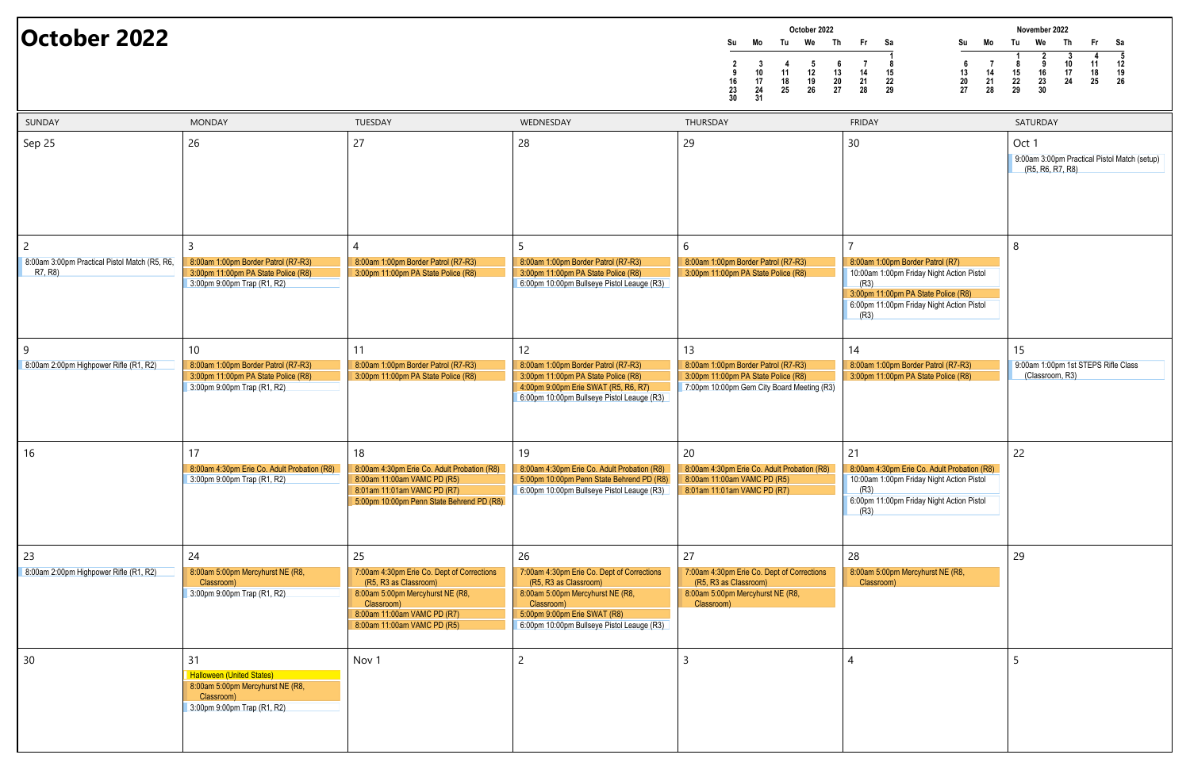| October 2022                        |                           |                |                     |                     |                |                          |  |
|-------------------------------------|---------------------------|----------------|---------------------|---------------------|----------------|--------------------------|--|
| Su                                  | Mo                        | Tu             | We                  | Th                  | Fr             | Sa                       |  |
| $\mathbf{2}$<br>9<br>16<br>23<br>30 | 3<br>10<br>17<br>24<br>31 | 11<br>18<br>25 | 5<br>12<br>19<br>26 | 6<br>13<br>20<br>27 | 14<br>21<br>28 | 1<br>8<br>15<br>22<br>29 |  |

### **October 2022**



| SUNDAY                                                        | <b>MONDAY</b>                                                                                                           | TUESDAY                                                                                                                                                                                   | WEDNESDAY                                                                                                                                                                                                 | THURSDAY                                                                                                                       | <b>FRIDAY</b>                                                                                                                                                                     | SATURDAY                             |
|---------------------------------------------------------------|-------------------------------------------------------------------------------------------------------------------------|-------------------------------------------------------------------------------------------------------------------------------------------------------------------------------------------|-----------------------------------------------------------------------------------------------------------------------------------------------------------------------------------------------------------|--------------------------------------------------------------------------------------------------------------------------------|-----------------------------------------------------------------------------------------------------------------------------------------------------------------------------------|--------------------------------------|
| Sep 25                                                        | 26                                                                                                                      | 27                                                                                                                                                                                        | 28                                                                                                                                                                                                        | 29                                                                                                                             | 30                                                                                                                                                                                | Oct 1<br>9:00am 3:00p<br>(R5, R6, F) |
| 2<br>8:00am 3:00pm Practical Pistol Match (R5, R6,<br>R7, R8) | 8:00am 1:00pm Border Patrol (R7-R3)<br>3:00pm 11:00pm PA State Police (R8)<br>3:00pm 9:00pm Trap (R1, R2)               | 8:00am 1:00pm Border Patrol (R7-R3)<br>3:00pm 11:00pm PA State Police (R8)                                                                                                                | 8:00am 1:00pm Border Patrol (R7-R3)<br>3:00pm 11:00pm PA State Police (R8)<br>6:00pm 10:00pm Bullseye Pistol Leauge (R3)                                                                                  | 6<br>8:00am 1:00pm Border Patrol (R7-R3)<br>3:00pm 11:00pm PA State Police (R8)                                                | 8:00am 1:00pm Border Patrol (R7)<br>10:00am 1:00pm Friday Night Action Pistol<br>(R3)<br>3:00pm 11:00pm PA State Police (R8)<br>6:00pm 11:00pm Friday Night Action Pistol<br>(R3) | 8                                    |
| -9<br>8:00am 2:00pm Highpower Rifle (R1, R2)                  | 10<br>8:00am 1:00pm Border Patrol (R7-R3)<br>3:00pm 11:00pm PA State Police (R8)<br>3:00pm 9:00pm Trap (R1, R2)         | 11<br>8:00am 1:00pm Border Patrol (R7-R3)<br>3:00pm 11:00pm PA State Police (R8)                                                                                                          | 12<br>8:00am 1:00pm Border Patrol (R7-R3)<br>3:00pm 11:00pm PA State Police (R8)<br>4:00pm 9:00pm Erie SWAT (R5, R6, R7)<br>6:00pm 10:00pm Bullseye Pistol Leauge (R3)                                    | 13<br>8:00am 1:00pm Border Patrol (R7-R3)<br>3:00pm 11:00pm PA State Police (R8)<br>7:00pm 10:00pm Gem City Board Meeting (R3) | 14<br>8:00am 1:00pm Border Patrol (R7-R3)<br>3:00pm 11:00pm PA State Police (R8)                                                                                                  | 15<br>9:00am 1:00p<br>(Classroor     |
| 16                                                            | 17<br>8:00am 4:30pm Erie Co. Adult Probation (R8)<br>3:00pm 9:00pm Trap (R1, R2)                                        | 18<br>8:00am 4:30pm Erie Co. Adult Probation (R8)<br>8:00am 11:00am VAMC PD (R5)<br>8:01am 11:01am VAMC PD (R7)<br>5:00pm 10:00pm Penn State Behrend PD (R8)                              | 19<br>8:00am 4:30pm Erie Co. Adult Probation (R8)<br>5:00pm 10:00pm Penn State Behrend PD (R8)<br>6:00pm 10:00pm Bullseye Pistol Leauge (R3)                                                              | 20<br>8:00am 4:30pm Erie Co. Adult Probation (R8)<br>8:00am 11:00am VAMC PD (R5)<br>8:01am 11:01am VAMC PD (R7)                | 21<br>8:00am 4:30pm Erie Co. Adult Probation (R8)<br>10:00am 1:00pm Friday Night Action Pistol<br>(R3)<br>6:00pm 11:00pm Friday Night Action Pistol<br>(R3)                       | 22                                   |
| 23<br>8:00am 2:00pm Highpower Rifle (R1, R2)                  | 24<br>8:00am 5:00pm Mercyhurst NE (R8,<br>Classroom)<br>3:00pm 9:00pm Trap (R1, R2)                                     | 25<br>7:00am 4:30pm Erie Co. Dept of Corrections<br>(R5, R3 as Classroom)<br>8:00am 5:00pm Mercyhurst NE (R8,<br>Classroom)<br>8:00am 11:00am VAMC PD (R7)<br>8:00am 11:00am VAMC PD (R5) | 26<br>7:00am 4:30pm Erie Co. Dept of Corrections<br>(R5, R3 as Classroom)<br>8:00am 5:00pm Mercyhurst NE (R8,<br>Classroom)<br>5:00pm 9:00pm Erie SWAT (R8)<br>6:00pm 10:00pm Bullseye Pistol Leauge (R3) | 27<br>7:00am 4:30pm Erie Co. Dept of Corrections<br>(R5, R3 as Classroom)<br>8:00am 5:00pm Mercyhurst NE (R8,<br>Classroom)    | 28<br>8:00am 5:00pm Mercyhurst NE (R8,<br>Classroom)                                                                                                                              | 29                                   |
| 30                                                            | 31<br><b>Halloween (United States)</b><br>8:00am 5:00pm Mercyhurst NE (R8,<br>Classroom)<br>3:00pm 9:00pm Trap (R1, R2) | Nov <sub>1</sub>                                                                                                                                                                          | $\overline{2}$                                                                                                                                                                                            |                                                                                                                                |                                                                                                                                                                                   |                                      |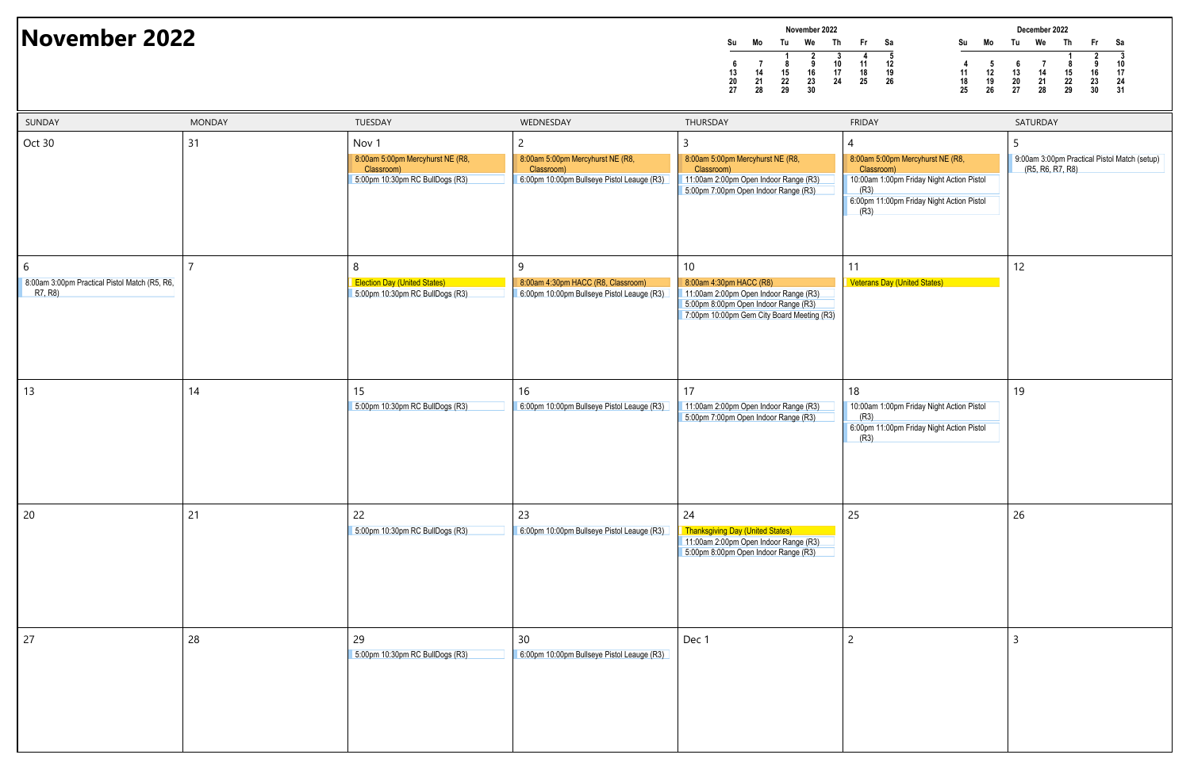|                | November 2022  |                |                |          |          |          |  |  |  |
|----------------|----------------|----------------|----------------|----------|----------|----------|--|--|--|
| Su             | Mo             | Tu             | We             | Th       | Fr       | Sa       |  |  |  |
| 6              |                | 1<br>8         | 2<br>9         | 3<br>10  | 11       | 5<br>12  |  |  |  |
| 13<br>20<br>27 | 14<br>21<br>28 | 15<br>22<br>29 | 16<br>23<br>30 | 17<br>24 | 18<br>25 | 19<br>26 |  |  |  |

## **November 2022**



| SUNDAY                                                        | <b>MONDAY</b>  | TUESDAY                                                                                               | WEDNESDAY                                                                                                      | THURSDAY                                                                                                                                                     | <b>FRIDAY</b>                                                                                                                                                 | SATURDAY                         |
|---------------------------------------------------------------|----------------|-------------------------------------------------------------------------------------------------------|----------------------------------------------------------------------------------------------------------------|--------------------------------------------------------------------------------------------------------------------------------------------------------------|---------------------------------------------------------------------------------------------------------------------------------------------------------------|----------------------------------|
| Oct 30                                                        | 31             | Nov <sub>1</sub><br>8:00am 5:00pm Mercyhurst NE (R8,<br>Classroom)<br>5:00pm 10:30pm RC BullDogs (R3) | $\overline{c}$<br>8:00am 5:00pm Mercyhurst NE (R8,<br>Classroom)<br>6:00pm 10:00pm Bullseye Pistol Leauge (R3) | 3<br>8:00am 5:00pm Mercyhurst NE (R8,<br>Classroom)<br>11:00am 2:00pm Open Indoor Range (R3)<br>5:00pm 7:00pm Open Indoor Range (R3)                         | 4<br>8:00am 5:00pm Mercyhurst NE (R8,<br>Classroom)<br>10:00am 1:00pm Friday Night Action Pistol<br>(R3)<br>6:00pm 11:00pm Friday Night Action Pistol<br>(R3) | -5<br>9:00am 3:00p<br>(R5, R6, R |
| 6<br>8:00am 3:00pm Practical Pistol Match (R5, R6,<br>R7, R8) | $\overline{7}$ | 8<br><b>Election Day (United States)</b><br>5:00pm 10:30pm RC BullDogs (R3)                           | 9<br>8:00am 4:30pm HACC (R8, Classroom)<br>6:00pm 10:00pm Bullseye Pistol Leauge (R3)                          | 10<br>8:00am 4:30pm HACC (R8)<br>11:00am 2:00pm Open Indoor Range (R3)<br>5:00pm 8:00pm Open Indoor Range (R3)<br>7:00pm 10:00pm Gem City Board Meeting (R3) | 11<br><b>Veterans Day (United States)</b>                                                                                                                     | 12                               |
| 13                                                            | 14             | 15<br>5:00pm 10:30pm RC BullDogs (R3)                                                                 | 16<br>6:00pm 10:00pm Bullseye Pistol Leauge (R3)                                                               | 17<br>11:00am 2:00pm Open Indoor Range (R3)<br>5:00pm 7:00pm Open Indoor Range (R3)                                                                          | 18<br>10:00am 1:00pm Friday Night Action Pistol<br>(R3)<br>6:00pm 11:00pm Friday Night Action Pistol<br>(R3)                                                  | 19                               |
| 20                                                            | 21             | 22<br>5:00pm 10:30pm RC BullDogs (R3)                                                                 | 23<br>6:00pm 10:00pm Bullseye Pistol Leauge (R3)                                                               | 24<br><b>Thanksgiving Day (United States)</b><br>11:00am 2:00pm Open Indoor Range (R3)<br>5:00pm 8:00pm Open Indoor Range (R3)                               | 25                                                                                                                                                            | 26                               |
| 27                                                            | 28             | 29<br>5:00pm 10:30pm RC BullDogs (R3)                                                                 | 30<br>6:00pm 10:00pm Bullseye Pistol Leauge (R3)                                                               | Dec 1                                                                                                                                                        | $\overline{2}$                                                                                                                                                | $\overline{3}$                   |